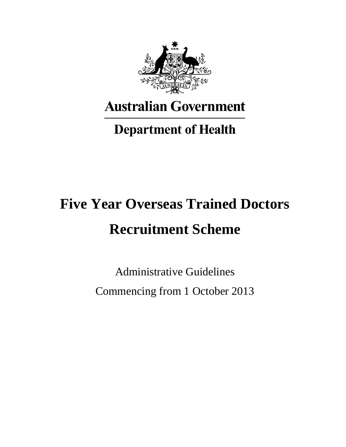

# **Australian Government**

# **Department of Health**

# **Five Year Overseas Trained Doctors Recruitment Scheme**

Administrative Guidelines Commencing from 1 October 2013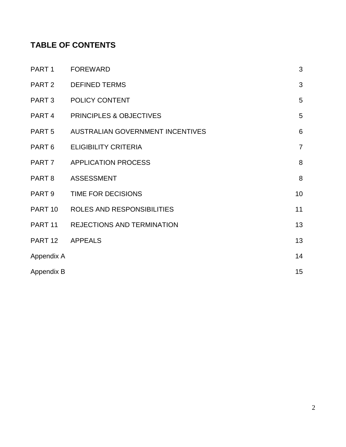# **TABLE OF CONTENTS**

| PART 1            | <b>FOREWARD</b>                    | 3              |
|-------------------|------------------------------------|----------------|
|                   | PART 2 DEFINED TERMS               | 3              |
|                   | PART 3 POLICY CONTENT              | 5              |
| PART <sub>4</sub> | <b>PRINCIPLES &amp; OBJECTIVES</b> | 5              |
| PART <sub>5</sub> | AUSTRALIAN GOVERNMENT INCENTIVES   | 6              |
| PART 6            | <b>ELIGIBILITY CRITERIA</b>        | $\overline{7}$ |
|                   | PART 7 APPLICATION PROCESS         | 8              |
| PART <sub>8</sub> | <b>ASSESSMENT</b>                  | 8              |
| PART 9            | TIME FOR DECISIONS                 | 10             |
|                   | PART 10 ROLES AND RESPONSIBILITIES | 11             |
|                   | PART 11 REJECTIONS AND TERMINATION | 13             |
| PART 12 APPEALS   |                                    | 13             |
| Appendix A        |                                    | 14             |
| Appendix B        |                                    | 15             |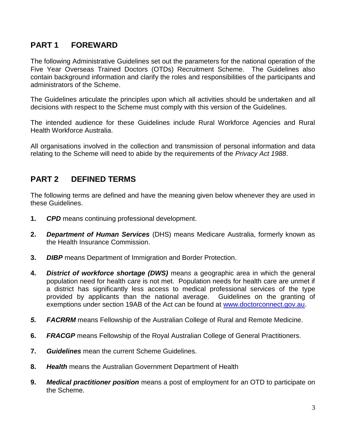# **PART 1 FOREWARD**

The following Administrative Guidelines set out the parameters for the national operation of the Five Year Overseas Trained Doctors (OTDs) Recruitment Scheme. The Guidelines also contain background information and clarify the roles and responsibilities of the participants and administrators of the Scheme.

The Guidelines articulate the principles upon which all activities should be undertaken and all decisions with respect to the Scheme must comply with this version of the Guidelines.

The intended audience for these Guidelines include Rural Workforce Agencies and Rural Health Workforce Australia.

All organisations involved in the collection and transmission of personal information and data relating to the Scheme will need to abide by the requirements of the *Privacy Act 1988*.

# **PART 2 DEFINED TERMS**

The following terms are defined and have the meaning given below whenever they are used in these Guidelines.

- **1.** *CPD* means continuing professional development.
- **2.** *Department of Human Services* (DHS) means Medicare Australia, formerly known as the Health Insurance Commission.
- **3.** *DIBP* means Department of Immigration and Border Protection.
- **4.** *District of workforce shortage (DWS)* mean*s* a geographic area in which the general population need for health care is not met. Population needs for health care are unmet if a district has significantly less access to medical professional services of the type provided by applicants than the national average. Guidelines on the granting of exemptions under section 19AB of the Act can be found at [www.doctorconnect.gov.au.](http://www.doctorconnect.gov.au/)
- *5. FACRRM* means Fellowship of the Australian College of Rural and Remote Medicine.
- **6.** *FRACGP* means Fellowship of the Royal Australian College of General Practitioners.
- **7.** *Guidelines* mean the current Scheme Guidelines.
- **8.** *Health* means the Australian Government Department of Health
- **9.** *Medical practitioner position* means a post of employment for an OTD to participate on the Scheme.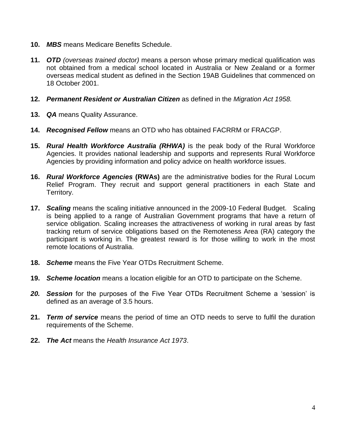- **10.** *MBS* means Medicare Benefits Schedule.
- **11.** *OTD (overseas trained doctor)* means a person whose primary medical qualification was not obtained from a medical school located in Australia or New Zealand or a former overseas medical student as defined in the Section 19AB Guidelines that commenced on 18 October 2001.
- **12.** *Permanent Resident or Australian Citizen* as defined in the *Migration Act 1958.*
- **13.** *QA* means Quality Assurance.
- **14.** *Recognised Fellow* means an OTD who has obtained FACRRM or FRACGP.
- **15.** *Rural Health Workforce Australia (RHWA)* is the peak body of the Rural Workforce Agencies. It provides national leadership and supports and represents Rural Workforce Agencies by providing information and policy advice on health workforce issues.
- **16.** *Rural Workforce Agencies* **(RWAs)** are the administrative bodies for the Rural Locum Relief Program. They recruit and support general practitioners in each State and Territory.
- **17.** *Scaling* means the scaling initiative announced in the 2009-10 Federal Budget. Scaling is being applied to a range of Australian Government programs that have a return of service obligation. Scaling increases the attractiveness of working in rural areas by fast tracking return of service obligations based on the Remoteness Area (RA) category the participant is working in. The greatest reward is for those willing to work in the most remote locations of Australia.
- **18.** *Scheme* means the Five Year OTDs Recruitment Scheme.
- **19.** *Scheme location* means a location eligible for an OTD to participate on the Scheme.
- **20. Session** for the purposes of the Five Year OTDs Recruitment Scheme a 'session' is defined as an average of 3.5 hours.
- **21.** *Term of service* means the period of time an OTD needs to serve to fulfil the duration requirements of the Scheme.
- **22.** *The Act* means the *Health Insurance Act 1973*.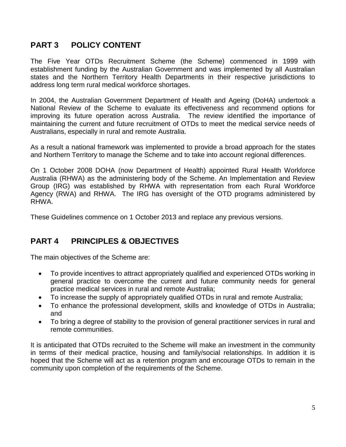# **PART 3 POLICY CONTENT**

The Five Year OTDs Recruitment Scheme (the Scheme) commenced in 1999 with establishment funding by the Australian Government and was implemented by all Australian states and the Northern Territory Health Departments in their respective jurisdictions to address long term rural medical workforce shortages.

In 2004, the Australian Government Department of Health and Ageing (DoHA) undertook a National Review of the Scheme to evaluate its effectiveness and recommend options for improving its future operation across Australia. The review identified the importance of maintaining the current and future recruitment of OTDs to meet the medical service needs of Australians, especially in rural and remote Australia.

As a result a national framework was implemented to provide a broad approach for the states and Northern Territory to manage the Scheme and to take into account regional differences.

On 1 October 2008 DOHA (now Department of Health) appointed Rural Health Workforce Australia (RHWA) as the administering body of the Scheme. An Implementation and Review Group (IRG) was established by RHWA with representation from each Rural Workforce Agency (RWA) and RHWA. The IRG has oversight of the OTD programs administered by RHWA.

These Guidelines commence on 1 October 2013 and replace any previous versions.

# **PART 4 PRINCIPLES & OBJECTIVES**

The main objectives of the Scheme are:

- To provide incentives to attract appropriately qualified and experienced OTDs working in general practice to overcome the current and future community needs for general practice medical services in rural and remote Australia;
- To increase the supply of appropriately qualified OTDs in rural and remote Australia;
- To enhance the professional development, skills and knowledge of OTDs in Australia; and
- To bring a degree of stability to the provision of general practitioner services in rural and remote communities.

It is anticipated that OTDs recruited to the Scheme will make an investment in the community in terms of their medical practice, housing and family/social relationships. In addition it is hoped that the Scheme will act as a retention program and encourage OTDs to remain in the community upon completion of the requirements of the Scheme.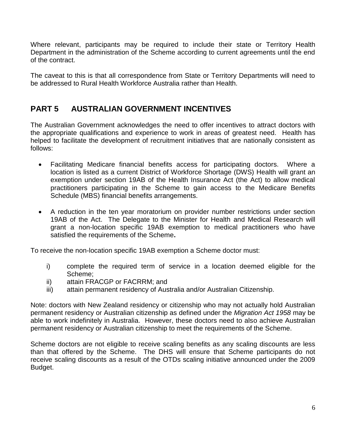Where relevant, participants may be required to include their state or Territory Health Department in the administration of the Scheme according to current agreements until the end of the contract.

The caveat to this is that all correspondence from State or Territory Departments will need to be addressed to Rural Health Workforce Australia rather than Health.

# **PART 5 AUSTRALIAN GOVERNMENT INCENTIVES**

The Australian Government acknowledges the need to offer incentives to attract doctors with the appropriate qualifications and experience to work in areas of greatest need. Health has helped to facilitate the development of recruitment initiatives that are nationally consistent as follows:

- Facilitating Medicare financial benefits access for participating doctors. Where a location is listed as a current District of Workforce Shortage (DWS) Health will grant an exemption under section 19AB of the Health Insurance Act (the Act) to allow medical practitioners participating in the Scheme to gain access to the Medicare Benefits Schedule (MBS) financial benefits arrangements.
- A reduction in the ten year moratorium on provider number restrictions under section 19AB of the Act. The Delegate to the Minister for Health and Medical Research will grant a non-location specific 19AB exemption to medical practitioners who have satisfied the requirements of the Scheme**.**

To receive the non-location specific 19AB exemption a Scheme doctor must:

- i) complete the required term of service in a location deemed eligible for the Scheme;
- ii) attain FRACGP or FACRRM; and
- iii) attain permanent residency of Australia and/or Australian Citizenship.

Note: doctors with New Zealand residency or citizenship who may not actually hold Australian permanent residency or Australian citizenship as defined under the *Migration Act 1958* may be able to work indefinitely in Australia. However, these doctors need to also achieve Australian permanent residency or Australian citizenship to meet the requirements of the Scheme.

Scheme doctors are not eligible to receive scaling benefits as any scaling discounts are less than that offered by the Scheme. The DHS will ensure that Scheme participants do not receive scaling discounts as a result of the OTDs scaling initiative announced under the 2009 Budget.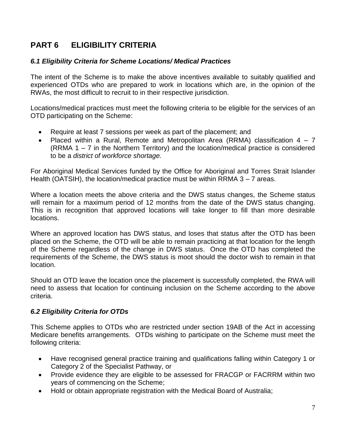# **PART 6 ELIGIBILITY CRITERIA**

#### *6.1 Eligibility Criteria for Scheme Locations/ Medical Practices*

The intent of the Scheme is to make the above incentives available to suitably qualified and experienced OTDs who are prepared to work in locations which are, in the opinion of the RWAs, the most difficult to recruit to in their respective jurisdiction.

Locations/medical practices must meet the following criteria to be eligible for the services of an OTD participating on the Scheme:

- Require at least 7 sessions per week as part of the placement; and
- Placed within a Rural, Remote and Metropolitan Area (RRMA) classification  $4 7$ (RRMA 1 – 7 in the Northern Territory) and the location/medical practice is considered to be a *district of workforce shortage.*

For Aboriginal Medical Services funded by the Office for Aboriginal and Torres Strait Islander Health (OATSIH), the location/medical practice must be within RRMA 3 – 7 areas.

Where a location meets the above criteria and the DWS status changes, the Scheme status will remain for a maximum period of 12 months from the date of the DWS status changing. This is in recognition that approved locations will take longer to fill than more desirable locations.

Where an approved location has DWS status, and loses that status after the OTD has been placed on the Scheme, the OTD will be able to remain practicing at that location for the length of the Scheme regardless of the change in DWS status. Once the OTD has completed the requirements of the Scheme, the DWS status is moot should the doctor wish to remain in that location.

Should an OTD leave the location once the placement is successfully completed, the RWA will need to assess that location for continuing inclusion on the Scheme according to the above criteria.

#### *6.2 Eligibility Criteria for OTDs*

This Scheme applies to OTDs who are restricted under section 19AB of the Act in accessing Medicare benefits arrangements. OTDs wishing to participate on the Scheme must meet the following criteria:

- Have recognised general practice training and qualifications falling within Category 1 or Category 2 of the Specialist Pathway, or
- Provide evidence they are eligible to be assessed for FRACGP or FACRRM within two years of commencing on the Scheme;
- Hold or obtain appropriate registration with the Medical Board of Australia;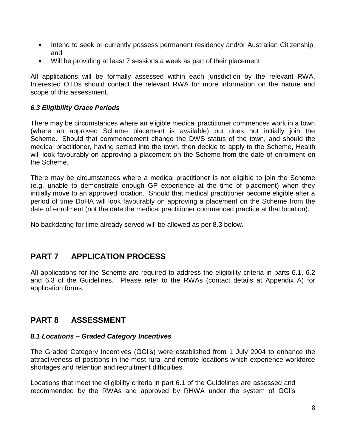- Intend to seek or currently possess permanent residency and/or Australian Citizenship; and
- Will be providing at least 7 sessions a week as part of their placement.

All applications will be formally assessed within each jurisdiction by the relevant RWA. Interested OTDs should contact the relevant RWA for more information on the nature and scope of this assessment.

#### *6.3 Eligibility Grace Periods*

There may be circumstances where an eligible medical practitioner commences work in a town (where an approved Scheme placement is available) but does not initially join the Scheme. Should that commencement change the DWS status of the town, and should the medical practitioner, having settled into the town, then decide to apply to the Scheme, Health will look favourably on approving a placement on the Scheme from the date of enrolment on the Scheme.

There may be circumstances where a medical practitioner is not eligible to join the Scheme (e.g. unable to demonstrate enough GP experience at the time of placement) when they initially move to an approved location. Should that medical practitioner become eligible after a period of time DoHA will look favourably on approving a placement on the Scheme from the date of enrolment (not the date the medical practitioner commenced practice at that location).

No backdating for time already served will be allowed as per 8.3 below.

# **PART 7 APPLICATION PROCESS**

All applications for the Scheme are required to address the eligibility criteria in parts 6.1, 6.2 and 6.3 of the Guidelines. Please refer to the RWAs (contact details at Appendix A) for application forms.

# **PART 8 ASSESSMENT**

#### *8.1 Locations – Graded Category Incentives*

The Graded Category Incentives (GCI's) were established from 1 July 2004 to enhance the attractiveness of positions in the most rural and remote locations which experience workforce shortages and retention and recruitment difficulties.

Locations that meet the eligibility criteria in part 6.1 of the Guidelines are assessed and recommended by the RWAs and approved by RHWA under the system of GCI's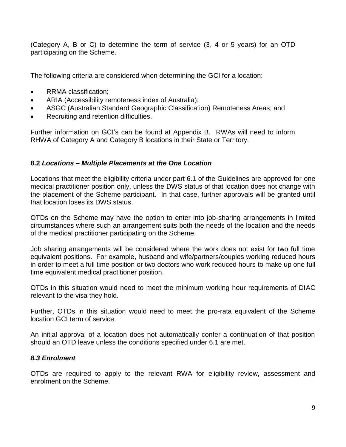(Category A, B or C) to determine the term of service (3, 4 or 5 years) for an OTD participating on the Scheme.

The following criteria are considered when determining the GCI for a location:

- RRMA classification;
- ARIA (Accessibility remoteness index of Australia);
- ASGC (Australian Standard Geographic Classification) Remoteness Areas; and
- Recruiting and retention difficulties.

Further information on GCI's can be found at Appendix B. RWAs will need to inform RHWA of Category A and Category B locations in their State or Territory.

#### **8.2** *Locations – Multiple Placements at the One Location*

Locations that meet the eligibility criteria under part 6.1 of the Guidelines are approved for one medical practitioner position only, unless the DWS status of that location does not change with the placement of the Scheme participant. In that case, further approvals will be granted until that location loses its DWS status.

OTDs on the Scheme may have the option to enter into job-sharing arrangements in limited circumstances where such an arrangement suits both the needs of the location and the needs of the medical practitioner participating on the Scheme.

Job sharing arrangements will be considered where the work does not exist for two full time equivalent positions. For example, husband and wife/partners/couples working reduced hours in order to meet a full time position or two doctors who work reduced hours to make up one full time equivalent medical practitioner position.

OTDs in this situation would need to meet the minimum working hour requirements of DIAC relevant to the visa they hold.

Further, OTDs in this situation would need to meet the pro-rata equivalent of the Scheme location GCI term of service.

An initial approval of a location does not automatically confer a continuation of that position should an OTD leave unless the conditions specified under 6.1 are met.

#### *8.3 Enrolment*

OTDs are required to apply to the relevant RWA for eligibility review, assessment and enrolment on the Scheme.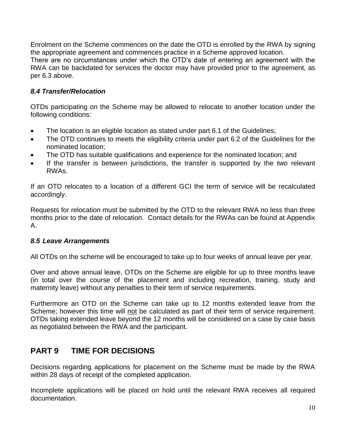Enrolment on the Scheme commences on the date the OTD is enrolled by the RWA by signing the appropriate agreement and commences practice in a Scheme approved location.

There are no circumstances under which the OTD's date of entering an agreement with the RWA can be backdated for services the doctor may have provided prior to the agreement, as per 6.3 above.

#### *8.4 Transfer/Relocation*

OTDs participating on the Scheme may be allowed to relocate to another location under the following conditions:

- The location is an eligible location as stated under part 6.1 of the Guidelines;
- The OTD continues to meets the eligibility criteria under part 6.2 of the Guidelines for the nominated location;
- The OTD has suitable qualifications and experience for the nominated location; and
- If the transfer is between jurisdictions, the transfer is supported by the two relevant RWAs.

If an OTD relocates to a location of a different GCI the term of service will be recalculated accordingly.

Requests for relocation must be submitted by the OTD to the relevant RWA no less than three months prior to the date of relocation. Contact details for the RWAs can be found at Appendix A.

#### *8.5 Leave Arrangements*

All OTDs on the scheme will be encouraged to take up to four weeks of annual leave per year.

Over and above annual leave, OTDs on the Scheme are eligible for up to three months leave (in total over the course of the placement and including recreation, training, study and maternity leave) without any penalties to their term of service requirements.

Furthermore an OTD on the Scheme can take up to 12 months extended leave from the Scheme; however this time will not be calculated as part of their term of service requirement. OTDs taking extended leave beyond the 12 months will be considered on a case by case basis as negotiated between the RWA and the participant.

# **PART 9 TIME FOR DECISIONS**

Decisions regarding applications for placement on the Scheme must be made by the RWA within 28 days of receipt of the completed application.

Incomplete applications will be placed on hold until the relevant RWA receives all required documentation.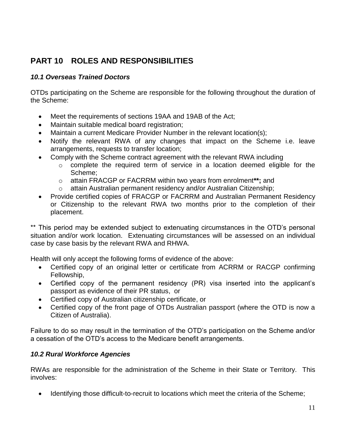# **PART 10 ROLES AND RESPONSIBILITIES**

#### *10.1 Overseas Trained Doctors*

OTDs participating on the Scheme are responsible for the following throughout the duration of the Scheme:

- Meet the requirements of sections 19AA and 19AB of the Act;
- Maintain suitable medical board registration:
- Maintain a current Medicare Provider Number in the relevant location(s);
- Notify the relevant RWA of any changes that impact on the Scheme i.e. leave arrangements, requests to transfer location;
- Comply with the Scheme contract agreement with the relevant RWA including
	- o complete the required term of service in a location deemed eligible for the Scheme;
	- o attain FRACGP or FACRRM within two years from enrolment**\*\*;** and
	- o attain Australian permanent residency and/or Australian Citizenship;
- Provide certified copies of FRACGP or FACRRM and Australian Permanent Residency or Citizenship to the relevant RWA two months prior to the completion of their placement.

\*\* This period may be extended subject to extenuating circumstances in the OTD's personal situation and/or work location. Extenuating circumstances will be assessed on an individual case by case basis by the relevant RWA and RHWA.

Health will only accept the following forms of evidence of the above:

- Certified copy of an original letter or certificate from ACRRM or RACGP confirming Fellowship,
- Certified copy of the permanent residency (PR) visa inserted into the applicant's passport as evidence of their PR status, or
- Certified copy of Australian citizenship certificate, or
- Certified copy of the front page of OTDs Australian passport (where the OTD is now a Citizen of Australia).

Failure to do so may result in the termination of the OTD's participation on the Scheme and/or a cessation of the OTD's access to the Medicare benefit arrangements.

#### *10.2 Rural Workforce Agencies*

RWAs are responsible for the administration of the Scheme in their State or Territory. This involves:

• Identifying those difficult-to-recruit to locations which meet the criteria of the Scheme;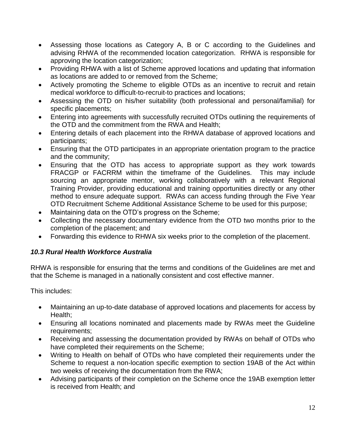- Assessing those locations as Category A, B or C according to the Guidelines and advising RHWA of the recommended location categorization. RHWA is responsible for approving the location categorization;
- Providing RHWA with a list of Scheme approved locations and updating that information as locations are added to or removed from the Scheme;
- Actively promoting the Scheme to eligible OTDs as an incentive to recruit and retain medical workforce to difficult-to-recruit-to practices and locations;
- Assessing the OTD on his/her suitability (both professional and personal/familial) for specific placements;
- Entering into agreements with successfully recruited OTDs outlining the requirements of the OTD and the commitment from the RWA and Health;
- Entering details of each placement into the RHWA database of approved locations and participants;
- Ensuring that the OTD participates in an appropriate orientation program to the practice and the community;
- Ensuring that the OTD has access to appropriate support as they work towards FRACGP or FACRRM within the timeframe of the Guidelines. This may include sourcing an appropriate mentor, working collaboratively with a relevant Regional Training Provider, providing educational and training opportunities directly or any other method to ensure adequate support. RWAs can access funding through the Five Year OTD Recruitment Scheme Additional Assistance Scheme to be used for this purpose;
- Maintaining data on the OTD's progress on the Scheme;
- Collecting the necessary documentary evidence from the OTD two months prior to the completion of the placement; and
- Forwarding this evidence to RHWA six weeks prior to the completion of the placement.

#### *10.3 Rural Health Workforce Australia*

RHWA is responsible for ensuring that the terms and conditions of the Guidelines are met and that the Scheme is managed in a nationally consistent and cost effective manner.

This includes:

- Maintaining an up-to-date database of approved locations and placements for access by Health;
- Ensuring all locations nominated and placements made by RWAs meet the Guideline requirements;
- Receiving and assessing the documentation provided by RWAs on behalf of OTDs who have completed their requirements on the Scheme;
- Writing to Health on behalf of OTDs who have completed their requirements under the Scheme to request a non-location specific exemption to section 19AB of the Act within two weeks of receiving the documentation from the RWA;
- Advising participants of their completion on the Scheme once the 19AB exemption letter is received from Health; and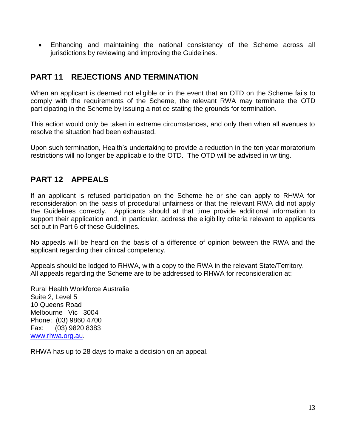Enhancing and maintaining the national consistency of the Scheme across all jurisdictions by reviewing and improving the Guidelines.

# **PART 11 REJECTIONS AND TERMINATION**

When an applicant is deemed not eligible or in the event that an OTD on the Scheme fails to comply with the requirements of the Scheme, the relevant RWA may terminate the OTD participating in the Scheme by issuing a notice stating the grounds for termination.

This action would only be taken in extreme circumstances, and only then when all avenues to resolve the situation had been exhausted.

Upon such termination, Health's undertaking to provide a reduction in the ten year moratorium restrictions will no longer be applicable to the OTD. The OTD will be advised in writing.

# **PART 12 APPEALS**

If an applicant is refused participation on the Scheme he or she can apply to RHWA for reconsideration on the basis of procedural unfairness or that the relevant RWA did not apply the Guidelines correctly. Applicants should at that time provide additional information to support their application and, in particular, address the eligibility criteria relevant to applicants set out in Part 6 of these Guidelines.

No appeals will be heard on the basis of a difference of opinion between the RWA and the applicant regarding their clinical competency.

Appeals should be lodged to RHWA, with a copy to the RWA in the relevant State/Territory. All appeals regarding the Scheme are to be addressed to RHWA for reconsideration at:

Rural Health Workforce Australia Suite 2, Level 5 10 Queens Road Melbourne Vic 3004 Phone: (03) 9860 4700 Fax: (03) 9820 8383 [www.rhwa.org.au.](http://www.rhwa.org.au/)

RHWA has up to 28 days to make a decision on an appeal.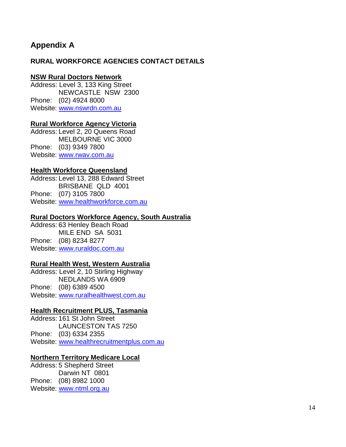# **Appendix A**

#### **RURAL WORKFORCE AGENCIES CONTACT DETAILS**

#### **NSW Rural Doctors Network**

Address: Level 3, 133 King Street NEWCASTLE NSW 2300 Phone: (02) 4924 8000 Website: [www.nswrdn.com.](http://www.nswrdn.com/)au

#### **Rural Workforce Agency Victoria**

Address: Level 2, 20 Queens Road MELBOURNE VIC 3000 Phone: (03) 9349 7800 Website: [www.rwav.com.au](http://www.rwav.com.au/)

#### **Health Workforce Queensland**

Address: Level 13, 288 Edward Street BRISBANE QLD 4001 Phone: (07) 3105 7800 Website: [www.healthworkforce.com.au](http://www.healthworkforce.com.au/)

#### **Rural Doctors Workforce Agency, South Australia**

Address: 63 Henley Beach Road MILE END SA 5031 Phone: (08) 8234 8277 Website: [www.ruraldoc.com.au](http://www.ruraldoc.com.au/)

#### **Rural Health West, Western Australia**

Address: Level 2, 10 Stirling Highway NEDLANDS WA 6909 Phone:(08) 6389 4500 Website: www.ruralhealthwest.com.au

#### **Health Recruitment PLUS, Tasmania**

Address: 161 St John Street LAUNCESTON TAS 7250 Phone: (03) 6334 2355 Website: [www.healthrecruitmentplus.com.au](http://www.healthrecruitmentplus.com.au/)

#### **Northern Territory Medicare Local**

Address: 5 Shepherd Street Darwin NT 0801 Phone: (08) 8982 1000 Website: [www.ntml.org.au](http://www.ntml.org.au/)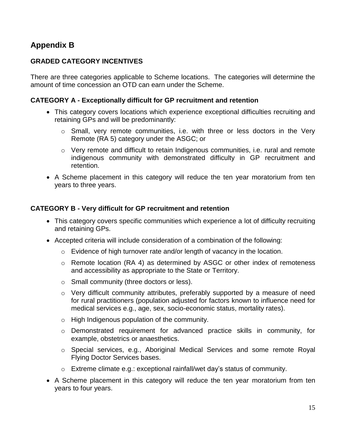# **Appendix B**

#### **GRADED CATEGORY INCENTIVES**

There are three categories applicable to Scheme locations. The categories will determine the amount of time concession an OTD can earn under the Scheme.

#### **CATEGORY A - Exceptionally difficult for GP recruitment and retention**

- This category covers locations which experience exceptional difficulties recruiting and retaining GPs and will be predominantly:
	- o Small, very remote communities, i.e. with three or less doctors in the Very Remote (RA 5) category under the ASGC; or
	- o Very remote and difficult to retain Indigenous communities, i.e. rural and remote indigenous community with demonstrated difficulty in GP recruitment and retention.
- A Scheme placement in this category will reduce the ten year moratorium from ten years to three years.

#### **CATEGORY B - Very difficult for GP recruitment and retention**

- This category covers specific communities which experience a lot of difficulty recruiting and retaining GPs.
- Accepted criteria will include consideration of a combination of the following:
	- $\circ$  Evidence of high turnover rate and/or length of vacancy in the location.
	- o Remote location (RA 4) as determined by ASGC or other index of remoteness and accessibility as appropriate to the State or Territory.
	- o Small community (three doctors or less).
	- o Very difficult community attributes, preferably supported by a measure of need for rural practitioners (population adjusted for factors known to influence need for medical services e.g., age, sex, socio-economic status, mortality rates).
	- o High Indigenous population of the community.
	- o Demonstrated requirement for advanced practice skills in community, for example, obstetrics or anaesthetics.
	- o Special services, e.g., Aboriginal Medical Services and some remote Royal Flying Doctor Services bases.
	- o Extreme climate e.g.: exceptional rainfall/wet day's status of community.
- A Scheme placement in this category will reduce the ten year moratorium from ten years to four years.